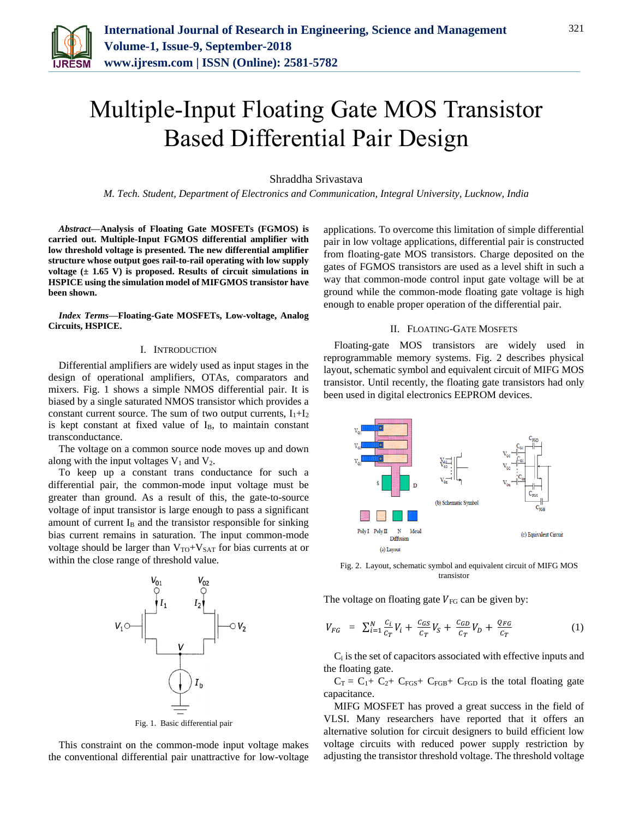

# Multiple-Input Floating Gate MOS Transistor Based Differential Pair Design

Shraddha Srivastava

*M. Tech. Student, Department of Electronics and Communication, Integral University, Lucknow, India*

*Abstract***—Analysis of Floating Gate MOSFETs (FGMOS) is carried out. Multiple-Input FGMOS differential amplifier with low threshold voltage is presented. The new differential amplifier structure whose output goes rail-to-rail operating with low supply voltage (± 1.65 V) is proposed. Results of circuit simulations in HSPICE using the simulation model of MIFGMOS transistor have been shown.**

*Index Terms***—Floating-Gate MOSFETs, Low-voltage, Analog Circuits, HSPICE.**

# I. INTRODUCTION

Differential amplifiers are widely used as input stages in the design of operational amplifiers, OTAs, comparators and mixers. Fig. 1 shows a simple NMOS differential pair. It is biased by a single saturated NMOS transistor which provides a constant current source. The sum of two output currents,  $I_1 + I_2$ is kept constant at fixed value of  $I_B$ , to maintain constant transconductance.

The voltage on a common source node moves up and down along with the input voltages  $V_1$  and  $V_2$ .

To keep up a constant trans conductance for such a differential pair, the common-mode input voltage must be greater than ground. As a result of this, the gate-to-source voltage of input transistor is large enough to pass a significant amount of current  $I_B$  and the transistor responsible for sinking bias current remains in saturation. The input common-mode voltage should be larger than  $V_{TO}+V_{SAT}$  for bias currents at or within the close range of threshold value.



Fig. 1. Basic differential pair

This constraint on the common-mode input voltage makes the conventional differential pair unattractive for low-voltage applications. To overcome this limitation of simple differential pair in low voltage applications, differential pair is constructed from floating-gate MOS transistors. Charge deposited on the gates of FGMOS transistors are used as a level shift in such a way that common-mode control input gate voltage will be at ground while the common-mode floating gate voltage is high enough to enable proper operation of the differential pair.

### II. FLOATING-GATE MOSFETS

Floating-gate MOS transistors are widely used in reprogrammable memory systems. Fig. 2 describes physical layout, schematic symbol and equivalent circuit of MIFG MOS transistor. Until recently, the floating gate transistors had only been used in digital electronics EEPROM devices.



Fig. 2. Layout, schematic symbol and equivalent circuit of MIFG MOS transistor

The voltage on floating gate  $V_{FG}$  can be given by:

$$
V_{FG} = \sum_{i=1}^{N} \frac{c_i}{c_T} V_i + \frac{c_{GS}}{c_T} V_S + \frac{c_{GD}}{c_T} V_D + \frac{Q_{FG}}{c_T}
$$
(1)

C<sup>i</sup> is the set of capacitors associated with effective inputs and the floating gate.

 $C_T = C_1 + C_2 + C_{FGS} + C_{FGB} + C_{FGD}$  is the total floating gate capacitance.

MIFG MOSFET has proved a great success in the field of VLSI. Many researchers have reported that it offers an alternative solution for circuit designers to build efficient low voltage circuits with reduced power supply restriction by adjusting the transistor threshold voltage. The threshold voltage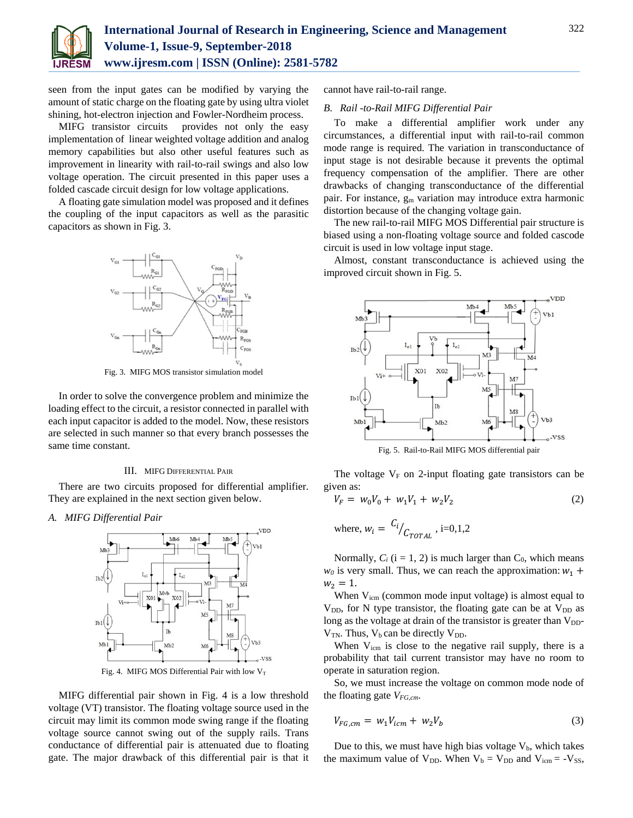

seen from the input gates can be modified by varying the amount of static charge on the floating gate by using ultra violet shining, hot-electron injection and Fowler-Nordheim process.

MIFG transistor circuits provides not only the easy implementation of linear weighted voltage addition and analog memory capabilities but also other useful features such as improvement in linearity with rail-to-rail swings and also low voltage operation. The circuit presented in this paper uses a folded cascade circuit design for low voltage applications.

A floating gate simulation model was proposed and it defines the coupling of the input capacitors as well as the parasitic capacitors as shown in Fig. 3.



Fig. 3. MIFG MOS transistor simulation model

In order to solve the convergence problem and minimize the loading effect to the circuit, a resistor connected in parallel with each input capacitor is added to the model. Now, these resistors are selected in such manner so that every branch possesses the same time constant.

#### III. MIFG DIFFERENTIAL PAIR

There are two circuits proposed for differential amplifier. They are explained in the next section given below.

*A. MIFG Differential Pair*



Fig. 4. MIFG MOS Differential Pair with low  $V_T$ 

MIFG differential pair shown in Fig. 4 is a low threshold voltage (VT) transistor. The floating voltage source used in the circuit may limit its common mode swing range if the floating voltage source cannot swing out of the supply rails. Trans conductance of differential pair is attenuated due to floating gate. The major drawback of this differential pair is that it

cannot have rail-to-rail range.

# *B. Rail -to-Rail MIFG Differential Pair*

To make a differential amplifier work under any circumstances, a differential input with rail-to-rail common mode range is required. The variation in transconductance of input stage is not desirable because it prevents the optimal frequency compensation of the amplifier. There are other drawbacks of changing transconductance of the differential pair. For instance, g<sup>m</sup> variation may introduce extra harmonic distortion because of the changing voltage gain.

The new rail-to-rail MIFG MOS Differential pair structure is biased using a non-floating voltage source and folded cascode circuit is used in low voltage input stage.

Almost, constant transconductance is achieved using the improved circuit shown in Fig. 5.



Fig. 5. Rail-to-Rail MIFG MOS differential pair

The voltage  $V_F$  on 2-input floating gate transistors can be given as:

$$
V_F = w_0 V_0 + w_1 V_1 + w_2 V_2 \tag{2}
$$

where, 
$$
w_i = \frac{C_i}{C_{TOTAL}}
$$
, i=0,1,2

Normally,  $C_i$  ( $i = 1, 2$ ) is much larger than  $C_0$ , which means  $w_0$  is very small. Thus, we can reach the approximation:  $w_1$  +  $w_2 = 1$ .

When  $V_{icm}$  (common mode input voltage) is almost equal to  $V_{DD}$ , for N type transistor, the floating gate can be at  $V_{DD}$  as long as the voltage at drain of the transistor is greater than  $V_{DD}$ - $V_{TN}$ . Thus,  $V_b$  can be directly  $V_{DD}$ .

When  $V_{\text{icm}}$  is close to the negative rail supply, there is a probability that tail current transistor may have no room to operate in saturation region.

So, we must increase the voltage on common mode node of the floating gate *VFG,cm*.

$$
V_{FG, cm} = w_1 V_{icm} + w_2 V_b \tag{3}
$$

Due to this, we must have high bias voltage  $V<sub>b</sub>$ , which takes the maximum value of  $V_{DD}$ . When  $V_b = V_{DD}$  and  $V_{icm} = -V_{SS}$ ,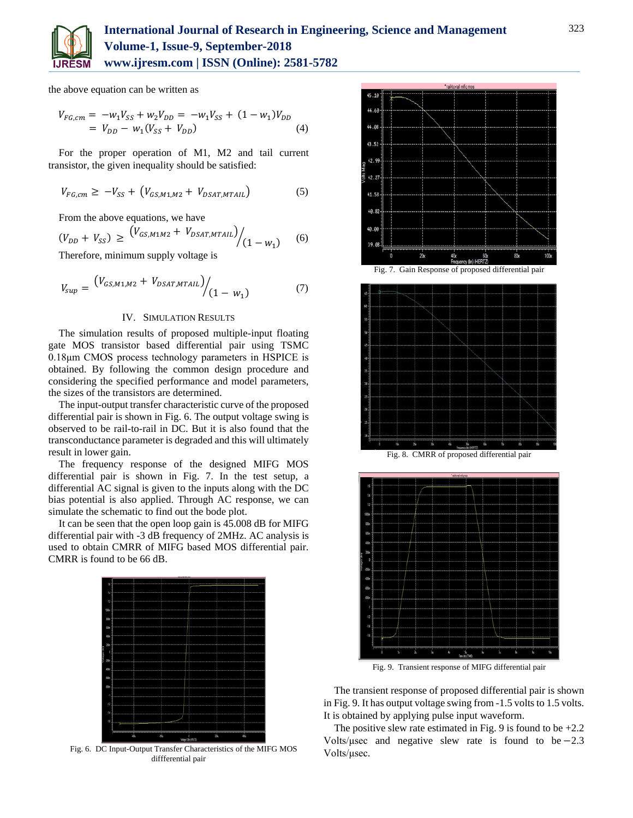

the above equation can be written as

$$
V_{FG,cm} = -w_1 V_{SS} + w_2 V_{DD} = -w_1 V_{SS} + (1 - w_1) V_{DD}
$$
  
=  $V_{DD} - w_1 (V_{SS} + V_{DD})$  (4)

For the proper operation of M1, M2 and tail current transistor, the given inequality should be satisfied:

$$
V_{FG,cm} \ge -V_{SS} + (V_{GS,M1,M2} + V_{DSAT,MTAIL})
$$
 (5)

From the above equations, we have

$$
(V_{DD} + V_{SS}) \ge \frac{(V_{GS,M1M2} + V_{DSAT,MTAIL})}{(1 - w_1)} \tag{6}
$$

Therefore, minimum supply voltage is

$$
V_{sup} = \frac{(V_{GS,M1,M2} + V_{DSAT,MTAIL})}{(1 - w_1)}
$$
(7)

## IV. SIMULATION RESULTS

The simulation results of proposed multiple-input floating gate MOS transistor based differential pair using TSMC 0.18μm CMOS process technology parameters in HSPICE is obtained. By following the common design procedure and considering the specified performance and model parameters, the sizes of the transistors are determined.

The input-output transfer characteristic curve of the proposed differential pair is shown in Fig. 6. The output voltage swing is observed to be rail-to-rail in DC. But it is also found that the transconductance parameter is degraded and this will ultimately result in lower gain.

The frequency response of the designed MIFG MOS differential pair is shown in Fig. 7. In the test setup, a differential AC signal is given to the inputs along with the DC bias potential is also applied. Through AC response, we can simulate the schematic to find out the bode plot.

It can be seen that the open loop gain is 45.008 dB for MIFG differential pair with -3 dB frequency of 2MHz. AC analysis is used to obtain CMRR of MIFG based MOS differential pair. CMRR is found to be 66 dB.



Fig. 6. DC Input-Output Transfer Characteristics of the MIFG MOS diffferential pair





Fig. 9. Transient response of MIFG differential pair The transient response of proposed differential pair is shown in Fig. 9. It has output voltage swing from -1.5 volts to 1.5 volts.

The positive slew rate estimated in Fig. 9 is found to be  $+2.2$ Volts/ $\mu$ sec and negative slew rate is found to be −2.3 Volts/μsec.

It is obtained by applying pulse input waveform.